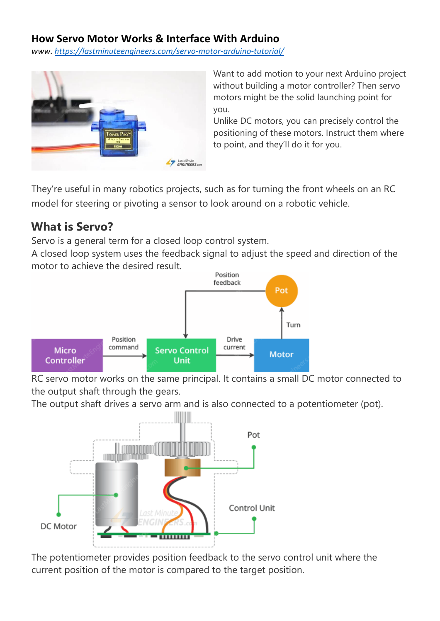#### **How Servo Motor Works & Interface With Arduino**

*www. <https://lastminuteengineers.com/servo-motor-arduino-tutorial/>*



Want to add motion to your next Arduino project without building a motor controller? Then servo motors might be the solid launching point for you.

Unlike DC motors, you can precisely control the positioning of these motors. Instruct them where to point, and they'll do it for you.

They're useful in many robotics projects, such as for turning the front wheels on an RC model for steering or pivoting a sensor to look around on a robotic vehicle.

### **What is Servo?**

Servo is a general term for a closed loop control system.

A closed loop system uses the feedback signal to adjust the speed and direction of the motor to achieve the desired result.



RC servo motor works on the same principal. It contains a small DC motor connected to the output shaft through the gears.

The output shaft drives a servo arm and is also connected to a potentiometer (pot).



The potentiometer provides position feedback to the servo control unit where the current position of the motor is compared to the target position.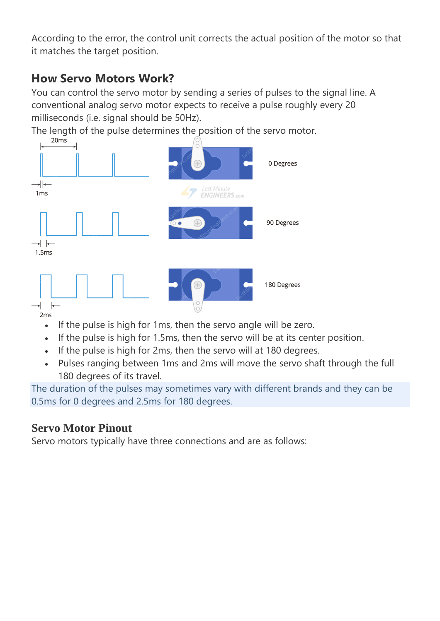According to the error, the control unit corrects the actual position of the motor so that it matches the target position.

## **How Servo Motors Work?**

You can control the servo motor by sending a series of pulses to the signal line. A conventional analog servo motor expects to receive a pulse roughly every 20 milliseconds (i.e. signal should be 50Hz).

The length of the pulse determines the position of the servo motor.



- If the pulse is high for 1ms, then the servo angle will be zero.
- If the pulse is high for 1.5ms, then the servo will be at its center position.
- If the pulse is high for 2ms, then the servo will at 180 degrees.
- Pulses ranging between 1ms and 2ms will move the servo shaft through the full 180 degrees of its travel.

The duration of the pulses may sometimes vary with different brands and they can be 0.5ms for 0 degrees and 2.5ms for 180 degrees.

## **Servo Motor Pinout**

Servo motors typically have three connections and are as follows: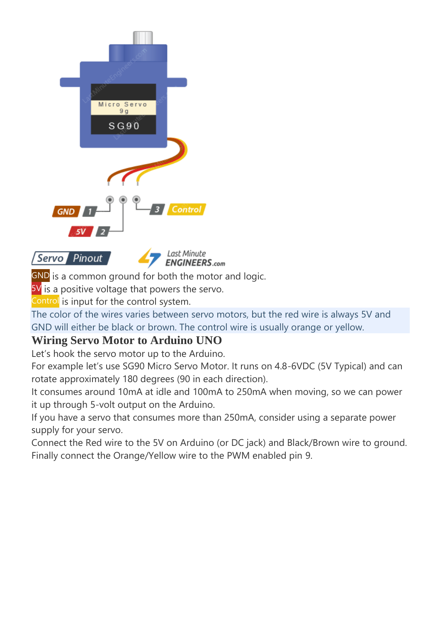

Servo Pinout



GND is a common ground for both the motor and logic.

5V is a positive voltage that powers the servo.

Control is input for the control system.

The color of the wires varies between servo motors, but the red wire is always 5V and GND will either be black or brown. The control wire is usually orange or yellow.

## **Wiring Servo Motor to Arduino UNO**

Let's hook the servo motor up to the Arduino.

For example let's use SG90 Micro Servo Motor. It runs on 4.8-6VDC (5V Typical) and can rotate approximately 180 degrees (90 in each direction).

It consumes around 10mA at idle and 100mA to 250mA when moving, so we can power it up through 5-volt output on the Arduino.

If you have a servo that consumes more than 250mA, consider using a separate power supply for your servo.

Connect the Red wire to the 5V on Arduino (or DC jack) and Black/Brown wire to ground. Finally connect the Orange/Yellow wire to the PWM enabled pin 9.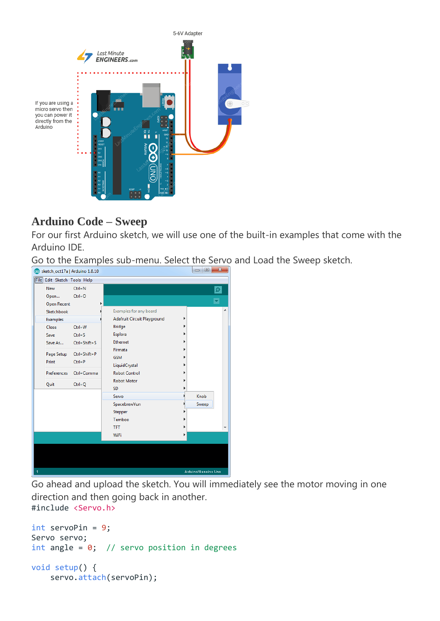

micro servo then you can power it directly from the Arduino

#### **Arduino Code – Sweep**

For our first Arduino sketch, we will use one of the built-in examples that come with the Arduino IDE.

Go to the Examples sub-menu. Select the Servo and Load the Sweep sketch.



Go ahead and upload the sketch. You will immediately see the motor moving in one direction and then going back in another. #include <Servo.h>

```
int servoPin = 9;
Servo servo;
int angle = 0; // servo position in degrees
void setup() {
    servo.attach(servoPin);
```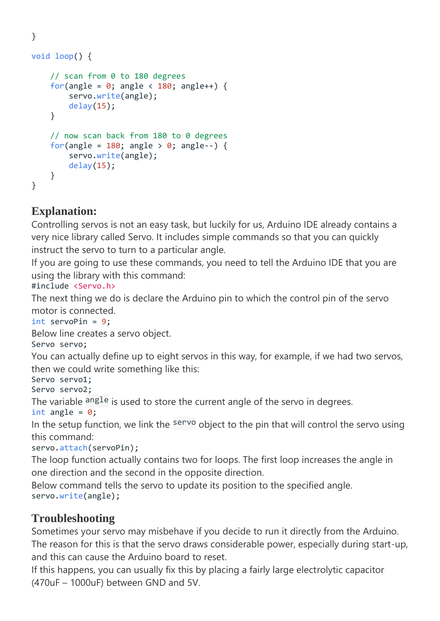```
void loop() {
     // scan from 0 to 180 degrees
    for(angle = 0; angle < 180; angle++) {
         servo.write(angle);
         delay(15);
     }
     // now scan back from 180 to 0 degrees
    for(angle = 180; angle > 0; angle --) {
         servo.write(angle);
         delay(15);
     }
}
```
## **Explanation:**

}

Controlling servos is not an easy task, but luckily for us, Arduino IDE already contains a very nice library called Servo. It includes simple commands so that you can quickly instruct the servo to turn to a particular angle.

If you are going to use these commands, you need to tell the Arduino IDE that you are using the library with this command:

#include <Servo.h>

The next thing we do is declare the Arduino pin to which the control pin of the servo motor is connected.

int servoPin = 9;

Below line creates a servo object.

Servo servo;

You can actually define up to eight servos in this way, for example, if we had two servos, then we could write something like this:

Servo servo1;

Servo servo2;

The variable angle is used to store the current angle of the servo in degrees.

int angle =  $0$ ;

In the setup function, we link the servo object to the pin that will control the servo using this command:

servo.attach(servoPin);

The loop function actually contains two for loops. The first loop increases the angle in one direction and the second in the opposite direction.

Below command tells the servo to update its position to the specified angle. servo.write(angle);

### **Troubleshooting**

Sometimes your servo may misbehave if you decide to run it directly from the Arduino. The reason for this is that the servo draws considerable power, especially during start-up, and this can cause the Arduino board to reset.

If this happens, you can usually fix this by placing a fairly large electrolytic capacitor (470uF – 1000uF) between GND and 5V.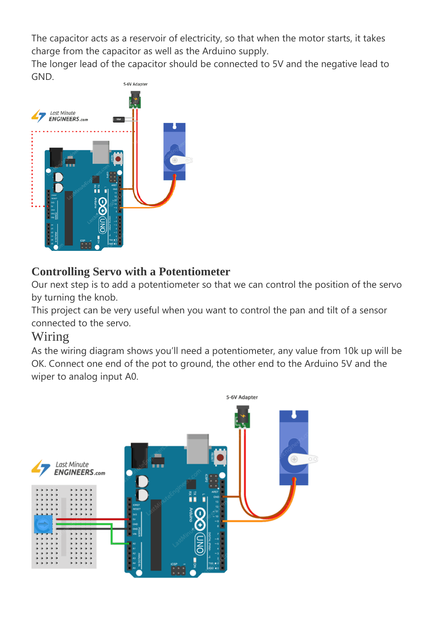The capacitor acts as a reservoir of electricity, so that when the motor starts, it takes charge from the capacitor as well as the Arduino supply.

The longer lead of the capacitor should be connected to 5V and the negative lead to GND.



## **Controlling Servo with a Potentiometer**

Our next step is to add a potentiometer so that we can control the position of the servo by turning the knob.

This project can be very useful when you want to control the pan and tilt of a sensor connected to the servo.

### Wiring

As the wiring diagram shows you'll need a potentiometer, any value from 10k up will be OK. Connect one end of the pot to ground, the other end to the Arduino 5V and the wiper to analog input A0.